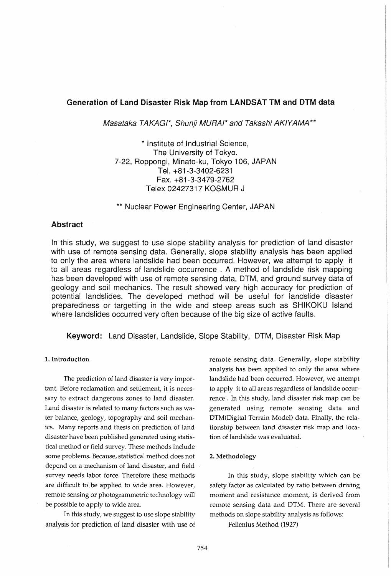# Generation of Land Disaster Risk Map from LANDSAT TM and DTM data

Masataka TAKAGI\*, Shunji MURAI\* and Takashi AKIYAMA \*\*

\* Institute of Industrial Science, The University of Tokyo. 7-22, Roppongi, Minato-ku, Tokyo 106, JAPAN Tel. +81-3-3402-6231 Fax. +81-3-3479-2762 Telex 02427317 KOSMUR J

\*\* Nuclear Power Enginearing Center, JAPAN

### Abstract

In this study, we suggest to use slope stability analysis for prediction of land disaster with use of remote sensing data. Generally, slope stability analysis has been applied to only the area where landslide had been occurred. However, we attempt to apply it to all areas regardless of landslide occurrence . A method of landslide risk mapping has been developed with use of remote sensing data, DTM, and ground survey data of geology and soil mechanics. The result showed very high accuracy for prediction of potential landslides. The developed method will be useful for landslide disaster preparedness or targetting in the wide and steep areas such as SHIKOKU Island where landslides occurred very often because of the big size of active faults.

Keyword: Land Disaster, Landslide, Slope Stability, DTM, Disaster Risk Map

#### 1. Introduction

The prediction of land disaster is very important. Before reclamation and settlement, it is necessary to extract dangerous zones to land disaster. Land disaster is related to many factors such as water balance, geology, topography and soil mechanics. Many reports and thesis on prediction of land disaster have been published generated using statistical method or field survey. These methods include some problems. Because, statistical method does not depend on a mechanism of land disaster, and field survey needs labor force. Therefore these methods are difficult to ,be applied to wide area. However, remote sensing or photogrammetric technology will be possible to apply to wide area.

In this study, we suggest to use slope stability analysis for prediction of land disaster with use of remote sensing data. Generally, slope stability analysis has been applied to only the area where landslide had been occurred. However, we attempt to apply it to all areas regardless of landslide occurrence. In this study, land disaster risk map can be generated using remote sensing data and DTM(Digital Terrain Model) data. Finally, the relationship between land disaster risk map and location of landslide was evaluated.

# 2. Methodology

In this study, slope stability which can be safety factor as calculated by ratio between driving moment and resistance moment, is derived from remote sensing data and DTM. There are several methods on slope stability analysis as follows:

Fellenius Method (1927)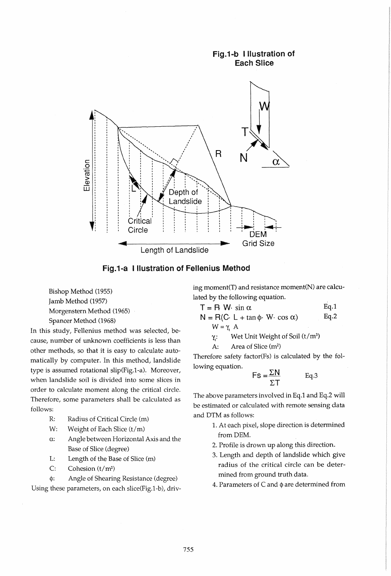

Fig.1-a Illustration of Felienius Method

Bishop Method (1955) Jamb Method (1957) Morgenstern Method (1965) Spancer Method (1968)

In this study, Fellenius method was selected, because, number of unknown coefficients is less than other methods, so that it is easy to calculate automatically by computer. In this method, landslide type is assumed rotational slip(Fig.1-a). Moreover, when landslide soil is divided into some slices in order to calculate moment along the critical circle. Therefore, some parameters shall be calculated as follows:

- R: Radius of Critical Circle (m)
- W: Weight of Each Slice  $(t/m)$
- $\alpha$ : Angle between Horizontal Axis and the Base of Slice (degree)
- L: Length of the Base of Slice (m)
- C: Cohesion (t/m2)

 $\phi$ : Angle of Shearing Resistance (degree) Using these parameters, on each slice(Fig.1-b), driving moment(T) and resistance moment(N) are calculated by the following equation.

$$
T = R W \cdot \sin \alpha
$$
 Eq.1  
\n
$$
N = R(C \cdot L + \tan \phi \cdot W \cdot \cos \alpha)
$$
 Eq.2  
\n
$$
W = \gamma_t A
$$
  
\n
$$
\gamma_t
$$
: Wet Unit Weight of Soil (t/m<sup>3</sup>)

$$
A: Area of Slice (m2)
$$

Therefore safety factor(Fs) is calculated by the following equation.

$$
FS = \frac{\Sigma N}{\Sigma T} \qquad \text{Eq.3}
$$

The above parameters involved in Eq.1 and Eq.2 will be estimated or calculated with remote sensing data and DTM as follows:

- 1. At each pixel, slope direction is determined fromDEM.
- 2. Profile is drown up along this direction.
- 3. Length and depth of landslide which give radius of the critical circle can be determined from ground truth data.
- 4. Parameters of  $C$  and  $\phi$  are determined from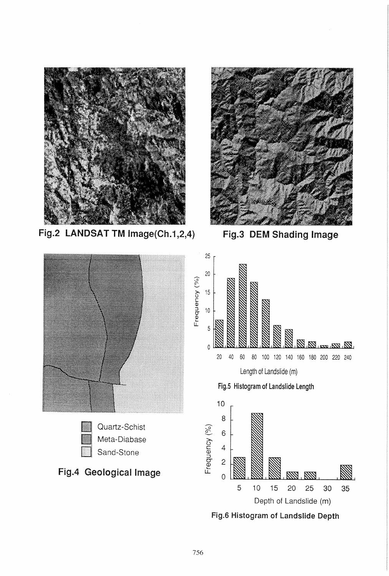

Fig.2 LANDSAT TM Image(Ch.1,2,4)



Fig.3 DEM Shading Image



Fig.6 Histogram of Landslide Depth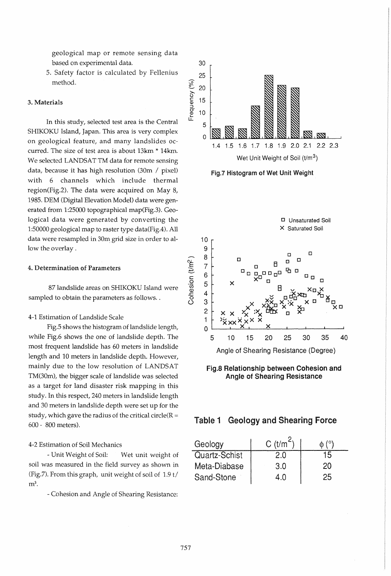geological map or remote sensing data based on experimental data.

5. Safety factor is calculated by Fellenius method.

#### 3. Materials

In this study, selected test area is the Central SHIKOKU Island, Japan. This area is very complex on geological feature, and many landslides occurred. The size of test area is about 13km \* 14km. We selected LANDSAT TM data for remote sensing data, because it has high resolution (30m / pixel) with 6 channels which include thermal region(Fig.2). The data were acquired on May 8, 1985. DEM (Digital Elevation Model) data were generated from 1:25000 topographical map(Fig.3). Geological data were generated by converting the 1:50000 geological map to raster type data(Fig.4). All data were resampled in 30m grid size in order to allow the overlay.

#### 4. Determination of Parameters

87 landslide areas on SHIKOKU Island were sampled to obtain the parameters as follows. .

#### 4-1 Estimation of Landslide Scale

Fig.5 shows the histogram of landslide length, while Fig.6 shows the one of landslide depth. The most frequent landslide has 60 meters in landslide length and 10 meters in landslide depth. However, mainly due to the low resolution of LANDSAT TM(30m), the bigger scale of landslide was selected as a target for land disaster risk mapping in this study. In this respect, 240 meters in landslide length and 30 meters in landslide depth were set up for the study, which gave the radius of the critical circle( $R =$ 600 - 800 meters).

### 4-2 Estimation of Soil Mechanics

- Unit Weight of Soil: Wet unit weight of soil was measured in the field survey as shown in (Fig.7). From this graph, unit weight of soil of 1.9 t/  $m<sup>3</sup>$ .

- Cohesion and Angle of Shearing Resistance:



Fig.7 Histogram of Wet Unit Weight



Fig.S Relationship between Cohesion and Angle of Shearing Resistance



| Geology       | $C$ (t/m <sup><math>\sim</math></sup> |    |
|---------------|---------------------------------------|----|
| Quartz-Schist |                                       |    |
| Meta-Diabase  | 3.0                                   | 20 |
| Sand-Stone    |                                       |    |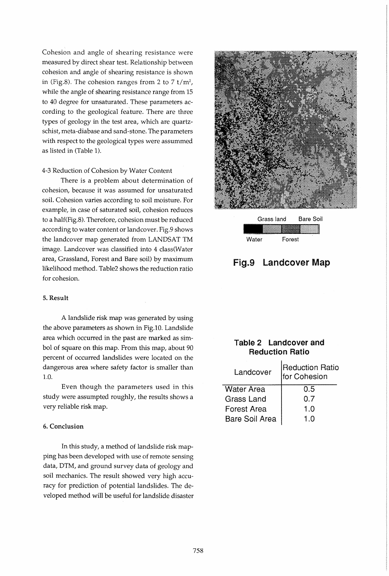Cohesion and angle of shearing resistance were measured by direct shear test. Relationship between cohesion and angle of shearing resistance is shown in (Fig.8). The cohesion ranges from 2 to 7 *t/m2,*  while the angle of shearing resistance range from 15 to 40 degree for unsaturated. These parameters according to the geological feature. There are three types of geology in the test area, which are quartzschist, meta-diabase and sand-stone. The parameters with respect to the geological types were assummed as listed in (Table 1).

#### 4-3 Reduction of Cohesion by Water Content

There is a problem about determination of cohesion, because it was assumed for unsaturated soil. Cohesion varies according to soil moisture. For example, in case of saturated soil, cohesion reduces to a half(Fig.8). Therefore, cohesion must be reduced according to water content or landcover. Fig.9 shows the landcover map generated from LANDSAT TM image. Landcover was classified into 4 class(Water area, Grassland, Forest and Bare soil) by maximum likelihood method. Table2 shows the reduction ratio for cohesion.

#### 5. Result

A landslide risk map was generated by using the above parameters as shown in Fig.l0. Landslide area which occurred in the past are marked as simbol of square on this map. From this map, about 90 percent of occurred landslides were located on the dangerous area where safety factor is smaller than 1.0.

Even though the parameters used in this study were assumpted roughly, the results shows a very reliable risk map.

#### 6. Conclusion

In this study, a method of landslide risk mapping has been developed with use of remote sensing data, DTM, and ground survey data of geology and soil mechanics. The result showed very high accuracy for prediction of potential landslides. The developed method will be useful for landslide disaster



|       | Grass land | Bare Soil |
|-------|------------|-----------|
|       |            |           |
| Water | Forest     |           |

# Fig.9 Landcover Map

# Table 2 Landcover and Reduction Ratio

| <b>Reduction Ratio</b><br>for Cohesion |
|----------------------------------------|
| 0.5                                    |
| 0.7                                    |
| 1.0                                    |
|                                        |
|                                        |